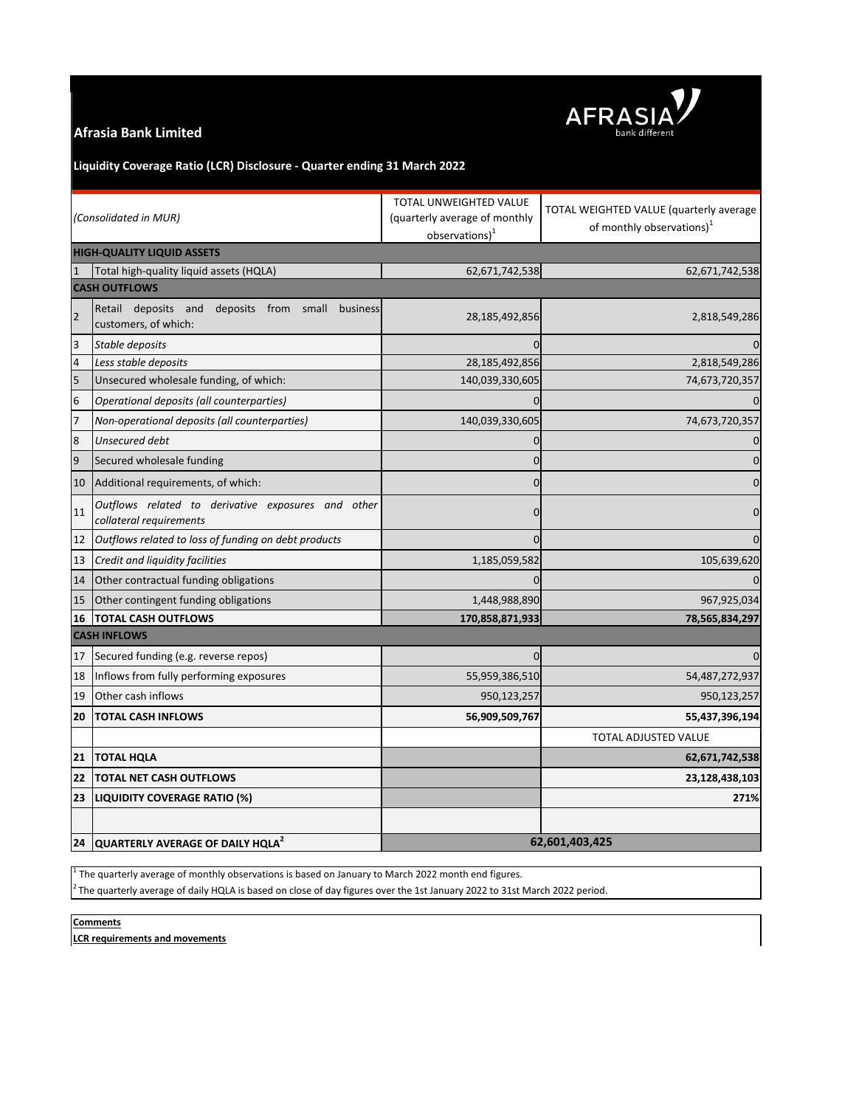## **Afrasia Bank Limited**



## **Liquidity Coverage Ratio (LCR) Disclosure - Quarter ending 31 March 2022**

| (Consolidated in MUR)             |                                                                                | TOTAL UNWEIGHTED VALUE<br>(quarterly average of monthly<br>$observations)^1$ | TOTAL WEIGHTED VALUE (quarterly average<br>of monthly observations) <sup>1</sup> |
|-----------------------------------|--------------------------------------------------------------------------------|------------------------------------------------------------------------------|----------------------------------------------------------------------------------|
| <b>HIGH-QUALITY LIQUID ASSETS</b> |                                                                                |                                                                              |                                                                                  |
|                                   | Total high-quality liquid assets (HQLA)                                        | 62,671,742,538                                                               | 62,671,742,538                                                                   |
| <b>CASH OUTFLOWS</b>              |                                                                                |                                                                              |                                                                                  |
| $\overline{2}$                    | Retail deposits and<br>deposits from small<br>business<br>customers, of which: | 28,185,492,856                                                               | 2,818,549,286                                                                    |
| 3                                 | Stable deposits                                                                | 0                                                                            | $\Omega$                                                                         |
| 4                                 | Less stable deposits                                                           | 28,185,492,856                                                               | 2,818,549,286                                                                    |
| 5                                 | Unsecured wholesale funding, of which:                                         | 140,039,330,605                                                              | 74,673,720,357                                                                   |
| $6\phantom{1}6$                   | Operational deposits (all counterparties)                                      | $\Omega$                                                                     | $\mathbf{0}$                                                                     |
| $\overline{7}$                    | Non-operational deposits (all counterparties)                                  | 140,039,330,605                                                              | 74,673,720,357                                                                   |
| 8                                 | Unsecured debt                                                                 | 0                                                                            | $\mathbf 0$                                                                      |
| 9                                 | Secured wholesale funding                                                      | $\mathbf 0$                                                                  | $\pmb{0}$                                                                        |
| 10                                | Additional requirements, of which:                                             | $\overline{0}$                                                               | $\pmb{0}$                                                                        |
| 11                                | Outflows related to derivative exposures and other<br>collateral requirements  | $\mathbf 0$                                                                  | $\mathbf 0$                                                                      |
| 12                                | Outflows related to loss of funding on debt products                           | $\mathbf 0$                                                                  | $\mathbf 0$                                                                      |
| 13                                | Credit and liquidity facilities                                                | 1,185,059,582                                                                | 105,639,620                                                                      |
| 14                                | Other contractual funding obligations                                          | $\Omega$                                                                     | $\Omega$                                                                         |
| 15                                | Other contingent funding obligations                                           | 1,448,988,890                                                                | 967,925,034                                                                      |
| 16                                | <b>TOTAL CASH OUTFLOWS</b>                                                     | 170,858,871,933                                                              | 78,565,834,297                                                                   |
| <b>CASH INFLOWS</b>               |                                                                                |                                                                              |                                                                                  |
| 17                                | Secured funding (e.g. reverse repos)                                           | $\mathbf 0$                                                                  | $\mathbf 0$                                                                      |
| 18                                | Inflows from fully performing exposures                                        | 55,959,386,510                                                               | 54,487,272,937                                                                   |
| 19                                | Other cash inflows                                                             | 950,123,257                                                                  | 950,123,257                                                                      |
| 20                                | <b>TOTAL CASH INFLOWS</b>                                                      | 56,909,509,767                                                               | 55,437,396,194                                                                   |
|                                   |                                                                                |                                                                              | TOTAL ADJUSTED VALUE                                                             |
| 21                                | <b>TOTAL HQLA</b>                                                              |                                                                              | 62,671,742,538                                                                   |
| 22                                | <b>TOTAL NET CASH OUTFLOWS</b>                                                 |                                                                              | 23,128,438,103                                                                   |
| 23                                | LIQUIDITY COVERAGE RATIO (%)                                                   |                                                                              | 271%                                                                             |
|                                   |                                                                                |                                                                              |                                                                                  |
|                                   | 24 QUARTERLY AVERAGE OF DAILY HQLA <sup>2</sup>                                | 62,601,403,425                                                               |                                                                                  |

 $<sup>1</sup>$  The quarterly average of monthly observations is based on January to March 2022 month end figures.</sup>

 $^2$ The quarterly average of daily HQLA is based on close of day figures over the 1st January 2022 to 31st March 2022 period.

**Comments**

**LCR requirements and movements**